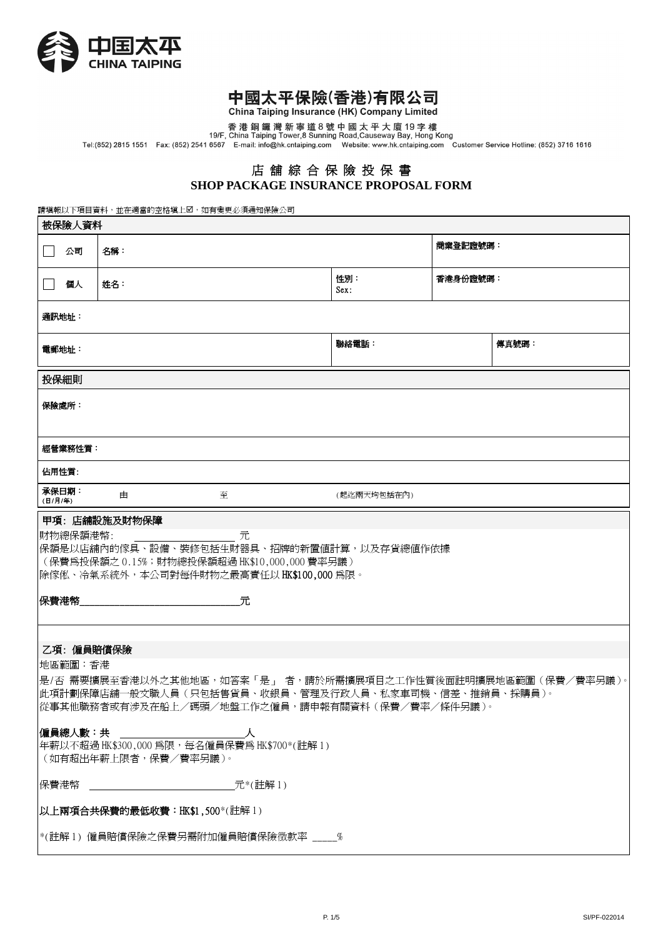

China Taiping Insurance (HK) Company Limited

other the pring the statemed (1997) of the party of the product of the product of the product of the secure of<br>香港銅鑼灣新寧道8號中國太平大廈19字樓<br>Tel:(852) 2815 1551 Fax: (852) 2541 6567 E-mail: info@hk.cntaiping.com Website: www.hk.c

## 店 舖 綜 合 保 險 投 保 書 **SHOP PACKAGE INSURANCE PROPOSAL FORM**

請填報以下項目資料,並在適當的空格塡上2,如有變更必須通知保險公司

| 被保險人資料                                                                                                                                                                               |                |   |             |          |       |  |  |  |
|--------------------------------------------------------------------------------------------------------------------------------------------------------------------------------------|----------------|---|-------------|----------|-------|--|--|--|
| ┌─│ 公司                                                                                                                                                                               | 名稱:            |   |             | 商業登記證號碼: |       |  |  |  |
| 個人<br>$\blacksquare$                                                                                                                                                                 | 姓名:            |   | 性別:<br>Sex: | 香港身份證號碼: |       |  |  |  |
| 通訊地址:                                                                                                                                                                                |                |   |             |          |       |  |  |  |
| 電郵地址:                                                                                                                                                                                |                |   | 聯絡電話:       |          | 傳真號碼: |  |  |  |
| 投保細則                                                                                                                                                                                 |                |   |             |          |       |  |  |  |
| 保險處所:                                                                                                                                                                                |                |   |             |          |       |  |  |  |
| 經營業務性質:                                                                                                                                                                              |                |   |             |          |       |  |  |  |
| 佔用性質:                                                                                                                                                                                |                |   |             |          |       |  |  |  |
| 承保日期:<br>(日/月/年)                                                                                                                                                                     | 由              | 至 | (起迄兩天均包括在內) |          |       |  |  |  |
| 甲項: 店舖設施及財物保障<br>財物總保額港幣:<br>元<br>保額是以店舖內的傢具、設備、裝修包括生財器具、招牌的新置值計算,以及存貨總值作依據<br>(保費爲投保額之 0.15%;財物總投保額超過 HK\$10,000,000 費率另議)<br>除傢俬、冷氣系統外,本公司對每件財物之最高責任以 HK\$100,000 為限。              |                |   |             |          |       |  |  |  |
| 保費港幣<br>元<br>乙項: 僱員賠償保險                                                                                                                                                              |                |   |             |          |       |  |  |  |
| 地區範圍:香港<br>是/否 需要擴展至香港以外之其他地區,如答案「是」 者,請於所需擴展項目之工作性質後面註明擴展地區範圍(保費/費率另議)。<br> 此項計劃保障店舖一般文職人員(只包括售貨員、收銀員、管理及行政人員、私家車司機、信差、推銷員、採購員)。<br> 從事其他職務者或有涉及在船上/碼頭/地盤工作之僱員,請申報有關資料(保費/費率/條件另議)。 |                |   |             |          |       |  |  |  |
| 僱員總人數:共<br>年薪以不超過 HK\$300,000 為限,每名僱員保費為 HK\$700*(註解 1)<br>(如有超出年薪上限者,保費/費率另議)。                                                                                                      |                |   |             |          |       |  |  |  |
| 保費港幣                                                                                                                                                                                 | <b>元*(註解1)</b> |   |             |          |       |  |  |  |
| 以上兩項合共保費的最低收費: HK\$1,500*(註解1)                                                                                                                                                       |                |   |             |          |       |  |  |  |
| *(註解1) 僱員賠償保險之保費另需附加僱員賠償保險徴款率 %                                                                                                                                                      |                |   |             |          |       |  |  |  |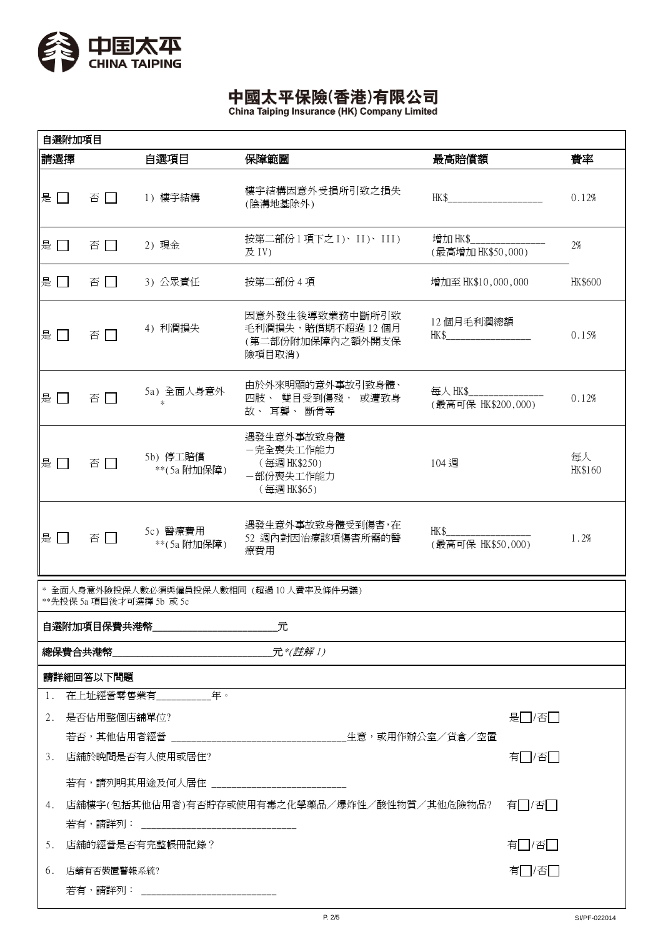

|     | 自選附加項目                                                                                                                                                                                                                                |                                        |                                                                           |                               |       |               |  |  |
|-----|---------------------------------------------------------------------------------------------------------------------------------------------------------------------------------------------------------------------------------------|----------------------------------------|---------------------------------------------------------------------------|-------------------------------|-------|---------------|--|--|
| 請選擇 |                                                                                                                                                                                                                                       | 自選項目                                   | 保障範圍                                                                      | 最高賠償額                         |       | 費率            |  |  |
| 是口  | 否口                                                                                                                                                                                                                                    | 1) 樓宇結構                                | 樓宇結構因意外受損所引致之損失<br>(陰溝地基除外)                                               | HK\$                          |       | 0.12%         |  |  |
| 是 □ | 否口                                                                                                                                                                                                                                    | 2) 現金                                  | 按第二部份1項下之 I)、II)、III)<br>及 IV)                                            | 增加 HK\$<br>(最高增加 HK\$50,000)  |       | 2%            |  |  |
| 是 口 | 否口                                                                                                                                                                                                                                    | 3) 公眾責任                                | 按第二部份 4 項                                                                 | 增加至 HK\$10,000,000            |       | HK\$600       |  |  |
| 是厂  | 否<br>$\mathcal{L}^{\mathcal{A}}$                                                                                                                                                                                                      | 4) 利潤損失                                | 因意外發生後導致業務中斷所引致<br>毛利潤損失,賠償期不超過12個月<br>(第二部份附加保障內之額外開支保<br>險項目取消)         | 12個月毛利潤總額<br>HK\$             |       | 0.15%         |  |  |
| 是门  | 否口                                                                                                                                                                                                                                    | 5a) 全面人身意外<br>$\ast$                   | 由於外來明顯的意外事故引致身體、<br>四肢、 雙目受到傷殘,<br>或遭致身<br>故、耳聾、斷骨等                       | 每人 HK\$<br>(最高可保 HK\$200,000) |       | 0.12%         |  |  |
| 是 口 | 否口                                                                                                                                                                                                                                    | 5b) 停工賠償<br>**(5a 附加保障)                | 遇發生意外事故致身體<br>一完全喪失工作能力<br>(每週 HK\$250)<br>一部份喪失工作能力<br>(每週 HK\$65)       | 104 週                         |       | 每人<br>HK\$160 |  |  |
| 是口  | 否口                                                                                                                                                                                                                                    | 5c) 醫療費用<br>**(5a 附加保障)                | 遇發生意外事故致身體受到傷害,在<br>HK\$<br>52 週內對因治療該項傷害所需的醫<br>(最高可保 HK\$50,000)<br>療費用 |                               |       | 1.2%          |  |  |
|     | * 全面人身意外險投保人數必須與僱員投保人數相同 (超過10人費率及條件另議)<br>**先投保 5a 項目後才可選擇 5b 或 5c                                                                                                                                                                   |                                        |                                                                           |                               |       |               |  |  |
|     | 自選附加項目保費共港幣<br>元                                                                                                                                                                                                                      |                                        |                                                                           |                               |       |               |  |  |
|     | 總保費合共港幣<br><b>2008年 - 2008年 - 2008年 - 2008年 - 2008年 - 2008年 - 2008年 - 2008年 - 2008年 - 2008年 - 2008年 - 2008年 - 2008年 - 2008年 - 2008年 - 2008年 - 2008年 - 2008年 - 2008年 - 2008年 - 2008年 - 2008年 - 2008年 - 2008年 - 2008年 - 2008年 - 200</b> |                                        |                                                                           |                               |       |               |  |  |
|     | 請詳細回答以下問題                                                                                                                                                                                                                             |                                        |                                                                           |                               |       |               |  |  |
|     |                                                                                                                                                                                                                                       | 1. 在上址經營零售業有_____________年。            |                                                                           |                               |       |               |  |  |
|     | 2. 是否佔用整個店舖單位?                                                                                                                                                                                                                        |                                        |                                                                           |                               | 是□/否□ |               |  |  |
|     |                                                                                                                                                                                                                                       |                                        |                                                                           |                               |       |               |  |  |
| 3.  | 店舖於晚間是否有人使用或居住?                                                                                                                                                                                                                       |                                        | 有□/否□                                                                     |                               |       |               |  |  |
|     | 若有,請列明其用途及何人居住 _____________________________                                                                                                                                                                                          |                                        |                                                                           |                               |       |               |  |  |
| 4.  | 店舖樓宇(包括其他佔用者)有否貯存或使用有毒之化學藥品/爆炸性/酸性物質/其他危險物品?<br>有□/否□                                                                                                                                                                                 |                                        |                                                                           |                               |       |               |  |  |
|     | 若有,請詳列: ___________________________________                                                                                                                                                                                           |                                        |                                                                           |                               |       |               |  |  |
| 5.  | 有□/否□<br>店舖的經營是否有完整帳冊記錄?                                                                                                                                                                                                              |                                        |                                                                           |                               |       |               |  |  |
| 6.  | 有□/否□<br>店舖有否裝置警報系統?                                                                                                                                                                                                                  |                                        |                                                                           |                               |       |               |  |  |
|     |                                                                                                                                                                                                                                       | 若有,請詳列: ______________________________ |                                                                           |                               |       |               |  |  |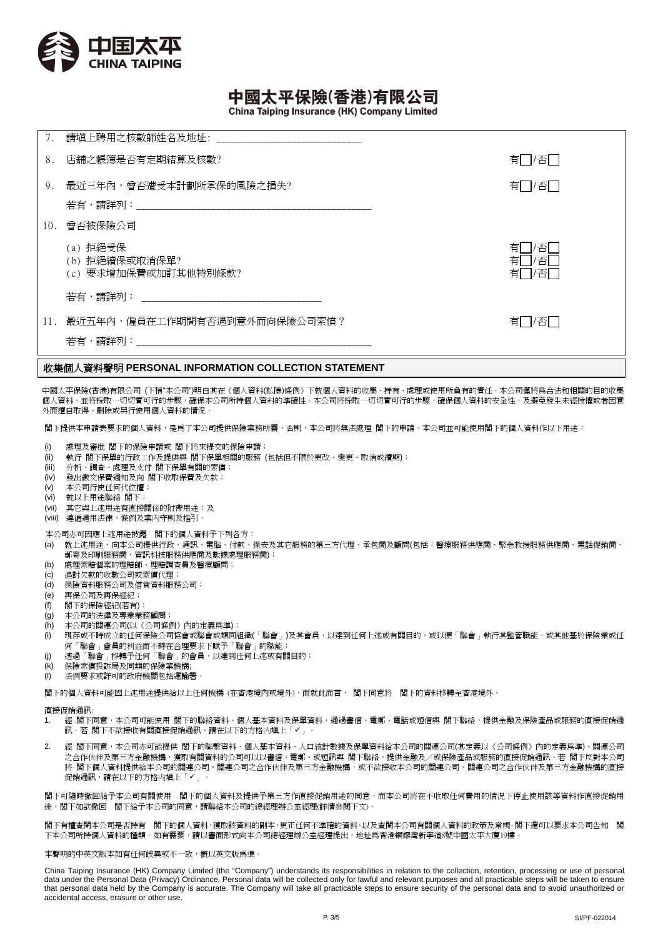

China Taiping Insurance (HK) Company Limited

| 7.  | 請填上聘用之核數師姓名及地址:                                    |                            |
|-----|----------------------------------------------------|----------------------------|
| 8.  | 店舖之帳簿是否有定期結算及核數?                                   | 有<br>1/否                   |
| 9.  | 最近三年內,曾否遭受本計劃所承保的風險之損失?                            | ' 」/否厂:<br>有               |
|     |                                                    |                            |
| 10. | 曾否被保險公司                                            |                            |
|     | (a) 拒絕受保<br>(b) 拒絕續保或取消保單?<br>(c) 要求增加保費或加訂其他特別條款? | 有<br>否<br>有<br>否<br>有<br>否 |
|     | 若有,請詳列: いっこう しゅうしょう しゅうしょう                         |                            |
| 11. | 最近五年內,僱員在工作期間有否遇到意外而向保險公司索償?                       | 有<br>1/否[                  |

### 收集個人資料聲明 **PERSONAL INFORMATION COLLECTION STATEMENT**

中國太平保險(香港)有限公司 (下稱"本公司")明白其在《個人資料(私隱)條例》下就個人資料的收集、持有、處理或使用所負有的責任。本公司僅將為合法和相關的目的收集 個人資料,並將採取一切切實可行的步驟,確保本公司所持個人資料的準確性。本公司將採取一切切實可行的步驟,確保個人資料的安全性,及避孕發生未經授權或者因意 外而擅自取得、刪除或另行使用個人資料的情況。

閣下提供本申請表要求的個人資料,是為了本公司提供保險業務所需,否則,本公司將無法處理 閣下的申請。本公司並可能使用閣下的個人資料作以下用途:

- (i) 處理及審批 閣下的保險申請或 閣下將來提交的保險申請;
- (ii) 執行 閣下保單的行政工作及提供與 閣下保單相關的服務 (包括但不限於更改、變更、取消或續期);
- (iii) 分析、調查、處理及支付 閣下保單有關的索償;
- (iv) 發出繳交保費通知及向 閣下收取保費及欠款;
- (v) 本公司行使任何代位權;
- (vi) 就以上用途聯絡 閣下;
- (vii) 其它與上述用途有直接關係的附帶用途;及
- (viii) 遵循適用法律,條例及業内守則及指引。
- 本公司亦可因應上述用途披露 閣下的個人資料予下列各方:
- (a) 就上述用途,向本公司提供行政、通訊、電腦、付款、保安及其它服務的第三方代理、承包商及顧問(包括:醫療服務供應商、緊急救援服務供應商、電話促銷商、 郵寄及印刷服務商、資訊科技服務供應商及數據處理服務商);
- (b) 處理索賠個案的理賠師、理賠調查員及醫療顧問;
- (c) 追討欠款的收數公司或索償代理;
- (d) 保險資料服務公司及信貸資料服務公司;
- (e) 再保公司及再保經紀;
- (f) 閣下的保險經紀(若有);
- (g) 本公司的法律及專業業務顧問;
- (h) 本公司的關連公司(以《公司條例》內的定義為準);
- (i) 現存或不時成立的任何保險公司協會或聯會或類同組織(「聯會」)及其會員,以達到任何上述或有關目的,或以便「聯會」執行其監管職能,或其他基於保險業或任 何「聯會」會員的利益而不時在合理要求下賦予「聯會」的職能;
- (j) 透過「聯會」移轉予任何「聯會」的會員,以達到任何上述或有關目的;
- (k) 保險索償投訴局及同類的保險業機構;
- (l) 法例要求或許可的政府機關包括運輸署。

閣下的個人資料可能因上述用途提供給以上任何機構 (在香港境內或境外),而就此而言, 閣下同意將 閣下的資料移轉至香港境外。

#### 直接促銷通訊:

- 1. 經 閣下同意,本公司可能使用 閣下的聯絡資料、個人基本資料及保單資料,通過書信、電郵、電話或短信與 閣下聯絡,提供金融及保險產品或服務的直接促銷通 訊。若 閣下不欲接收有關直接促銷通訊,請在以下的方格内填上「✔」
- 2. 經 閣下同意,本公司亦可能提供 閣下的聯繫資料、個人基本資料、人口統計數據及保單資料給本公司的關連公司(其定義以《公司條例》內的定義為準)、關連公司 之合作伙伴及第三方金融機構,獲取有關資料的公司可以以書信、電郵、或短訊與 閣下聯絡,提供金融及/或保險產品或服務的直接促銷通訊。若 閣下反對本公司 將 閣下個人資料提供給本公司的關連公司、關連公司之合作伙伴及第三方金融機構,或不欲接收本公司的關連公司、關連公司之合作伙伴及第三方金融機構的直接 促銷通訊,請在以下的方格内填上「✔」

閣下可隨時撤回給予本公司有關使用 閣下的個人資料及提供予第三方作直接促銷用途的同意,而本公司將在不收取任何費用的情況下停止使用該等資料作直接促銷用 途。閣下如欲撤回 閣下給予本公司的同意,請聯絡本公司的總經理辦公室經理(詳情參閱下文)。

閣下有權查閱本公司是否持有 閣下的個人資料,獲取該資料的副本,更正任何不準確的資料,以及查閱本公司有關個人資料的政策及常規。閣下還可以要求本公司告知 閣 下本公司所持個人資料的種類。如有需要,請以書面形式向本公司總經理辦公室經理提出,地址爲香港銅鑼灣新寧道8號中國太平大廈19樓。

#### 本聲明的中英文版本如有任何歧異或不一致,概以英文版為準。

China Taiping Insurance (HK) Company Limited (the "Company") understands its responsibilities in relation to the collection, retention, processing or use of personal data under the Personal Data (Privacy) Ordinance. Personal data will be collected only for lawful and relevant purposes and all practicable steps will be taken to ensure that personal data held by the Company is accurate. The Company will take all practicable steps to ensure security of the personal data and to avoid unauthorized or accidental access, erasure or other use.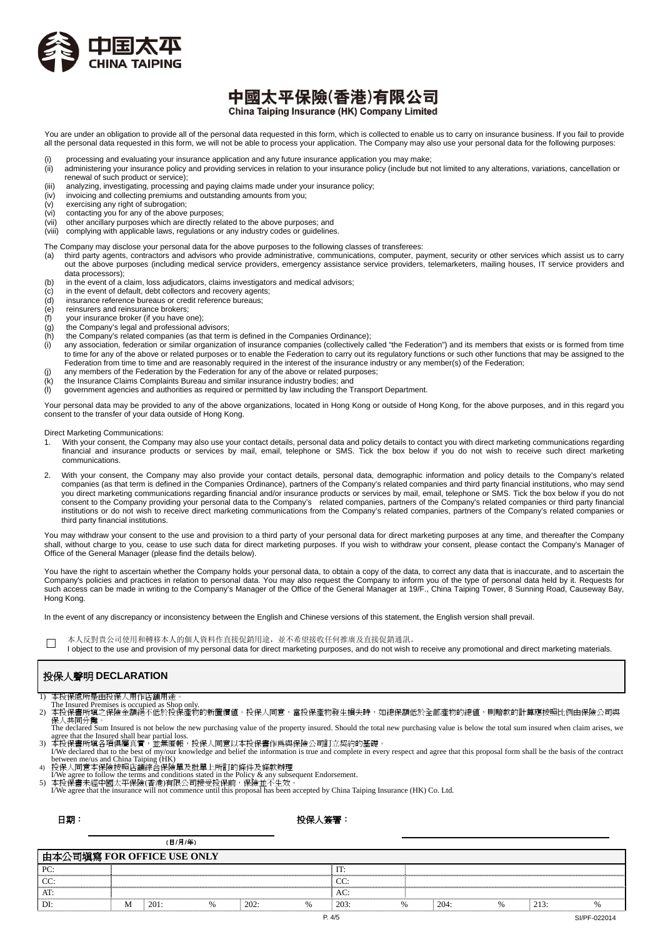

## 中國太平保險(香港)有限公司 China Taiping Insurance (HK) Company Limited

You are under an obligation to provide all of the personal data requested in this form, which is collected to enable us to carry on insurance business. If you fail to provide all the personal data requested in this form, we will not be able to process your application. The Company may also use your personal data for the following purposes:

- 
- (i) processing and evaluating your insurance application and any future insurance application you may make;<br>(ii) administering your insurance policy and providing services in relation to your insurance policy (include but administering your insurance policy and providing services in relation to your insurance policy (include but not limited to any alterations, variations, cancellation or renewal of such product or service);
- (iii) analyzing, investigating, processing and paying claims made under your insurance policy;
- (iv) invoicing and collecting premiums and outstanding amounts from you;
- (v) exercising any right of subrogation;
- (vi) contacting you for any of the above purposes;
- (vii) other ancillary purposes which are directly related to the above purposes; and

(viii) complying with applicable laws, regulations or any industry codes or guidelines.

#### The Company may disclose your personal data for the above purposes to the following classes of transferees:

- (a) third party agents, contractors and advisors who provide administrative, communications, computer, payment, security or other services which assist us to carry out the above purposes (including medical service providers, emergency assistance service providers, telemarketers, mailing houses, IT service providers and data processors);
- (b) in the event of a claim, loss adjudicators, claims investigators and medical advisors;
- (c) in the event of default, debt collectors and recovery agents;
- (d) insurance reference bureaus or credit reference bureaus;
- (e) reinsurers and reinsurance brokers;
- (f) your insurance broker (if you have one);
- (g) the Company's legal and professional advisors;
- (h) the Company's related companies (as that term is defined in the Companies Ordinance);
- (i) any association, federation or similar organization of insurance companies (collectively called "the Federation") and its members that exists or is formed from time to time for any of the above or related purposes or to enable the Federation to carry out its regulatory functions or such other functions that may be assigned to the Federation from time to time and are reasonably required in the interest of the insurance industry or any member(s) of the Federation;
- (j) any members of the Federation by the Federation for any of the above or related purposes;
- (k) the Insurance Claims Complaints Bureau and similar insurance industry bodies; and
- (l) government agencies and authorities as required or permitted by law including the Transport Department.

Your personal data may be provided to any of the above organizations, located in Hong Kong or outside of Hong Kong, for the above purposes, and in this regard you consent to the transfer of your data outside of Hong Kong.

Direct Marketing Communications:

- With your consent, the Company may also use your contact details, personal data and policy details to contact you with direct marketing communications regarding financial and insurance products or services by mail, email, telephone or SMS. Tick the box below if you do not wish to receive such direct marketing communications.
- 2. With your consent, the Company may also provide your contact details, personal data, demographic information and policy details to the Company's related companies (as that term is defined in the Companies Ordinance), partners of the Company's related companies and third party financial institutions, who may send you direct marketing communications regarding financial and/or insurance products or services by mail, email, telephone or SMS. Tick the box below if you do not consent to the Company providing your personal data to the Company's related companies, partners of the Company's related companies or third party financial institutions or do not wish to receive direct marketing communications from the Company's related companies, partners of the Company's related companies or third party financial institutions.

You may withdraw your consent to the use and provision to a third party of your personal data for direct marketing purposes at any time, and thereafter the Company shall, without charge to you, cease to use such data for direct marketing purposes. If you wish to withdraw your consent, please contact the Company's Manager of Office of the General Manager (please find the details below).

You have the right to ascertain whether the Company holds your personal data, to obtain a copy of the data, to correct any data that is inaccurate, and to ascertain the Company's policies and practices in relation to personal data. You may also request the Company to inform you of the type of personal data held by it. Requests for such access can be made in writing to the Company's Manager of the Office of the General Manager at 19/F., China Taiping Tower, 8 Sunning Road, Causeway Bay, Hong Kong.

In the event of any discrepancy or inconsistency between the English and Chinese versions of this statement, the English version shall prevail.

- □ 本人反對貴公司使用和轉移本人的個人資料作直接促銷用途,並不希望接收任何推廣及直接促銷通訊。
- I object to the use and provision of my personal data for direct marketing purposes, and do not wish to receive any promotional and direct marketing materials.

## 投保人聲明 **DECLARATION**

- 
- 
- 1) 本投保處所是由投保人用作店舖用途。<br> The Insured Premises is occupied as Shop only.<br>2) 本投保書所填之保險金額絕不低於投保產物的新置價值。投保人同意,當投保產物發生損失時,如總保額低於全部產物的總値,則賠款的計算應按照比例由保險公司與<br>保人共同分攤。
- The declared Sum Insured is not below the new purchasing value of the property insured. Should the total new purchasing value is below the total sum insured when claim arises, we
- agree that the Insured shall bear partial loss.<br>3) 本投保書所填各項俱屬真實,並無匿報,投保人同意以本投保書作爲與保險公司訂立契約的基礎。<br>I/We declared that to the best of my/our knowledge and belief the information is true and complete in every respect and agree
- 
- 4) 投保人同意本保險按照店舖綜合保險單及批單上所訂的條件及條款辦理<br>- I/We agree to follow the terms and conditions stated in the Policy & any subsequent Endorsement.<br>5) 本投保書未經中國太平保險(香港)有限公司接受投保前,保險並不生效。
- 
- I/We agree that the insurance will not commence until this proposal has been accepted by China Taiping Insurance (HK) Co. Ltd.

日期:

### 投保人簽署:

|                            | (日/月/年) |      |  |      |   |      |               |  |      |    |      |  |
|----------------------------|---------|------|--|------|---|------|---------------|--|------|----|------|--|
| 由本公司塡寫 FOR OFFICE USE ONLY |         |      |  |      |   |      |               |  |      |    |      |  |
| PC:                        |         |      |  |      |   | IT:  |               |  |      |    |      |  |
| CC:                        |         |      |  |      |   | CC:  |               |  |      |    |      |  |
| AT:                        |         |      |  |      |   | AC:  |               |  |      |    |      |  |
| DI:                        | M       | 201: |  | 202: | % | 203: | $\frac{0}{6}$ |  | 204: | 0/ | 213: |  |